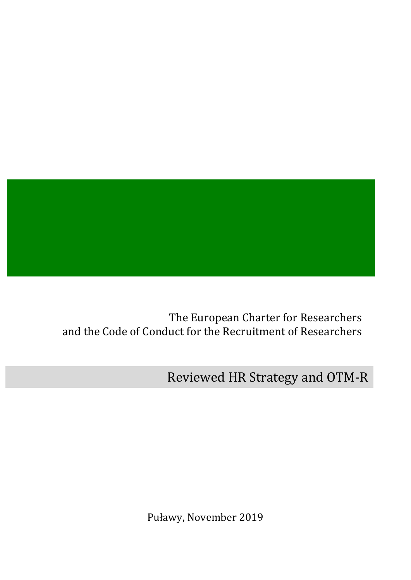

The European Charter for Researchers and the Code of Conduct for the Recruitment of Researchers

Reviewed HR Strategy and OTM-R

Puławy, November 2019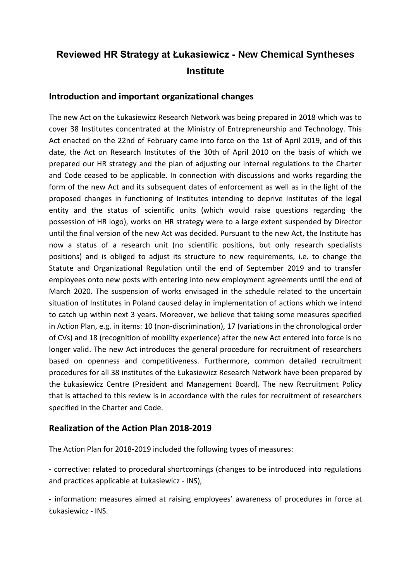# **Reviewed HR Strategy at Łukasiewicz - New Chemical Syntheses Institute**

## **Introduction and important organizational changes**

The new Act on the Łukasiewicz Research Network was being prepared in 2018 which was to cover 38 Institutes concentrated at the Ministry of Entrepreneurship and Technology. This Act enacted on the 22nd of February came into force on the 1st of April 2019, and of this date, the Act on Research Institutes of the 30th of April 2010 on the basis of which we prepared our HR strategy and the plan of adjusting our internal regulations to the Charter and Code ceased to be applicable. In connection with discussions and works regarding the form of the new Act and its subsequent dates of enforcement as well as in the light of the proposed changes in functioning of Institutes intending to deprive Institutes of the legal entity and the status of scientific units (which would raise questions regarding the possession of HR logo), works on HR strategy were to a large extent suspended by Director until the final version of the new Act was decided. Pursuant to the new Act, the Institute has now a status of a research unit (no scientific positions, but only research specialists positions) and is obliged to adjust its structure to new requirements, i.e. to change the Statute and Organizational Regulation until the end of September 2019 and to transfer employees onto new posts with entering into new employment agreements until the end of March 2020. The suspension of works envisaged in the schedule related to the uncertain situation of Institutes in Poland caused delay in implementation of actions which we intend to catch up within next 3 years. Moreover, we believe that taking some measures specified in Action Plan, e.g. in items: 10 (non-discrimination), 17 (variations in the chronological order of CVs) and 18 (recognition of mobility experience) after the new Act entered into force is no longer valid. The new Act introduces the general procedure for recruitment of researchers based on openness and competitiveness. Furthermore, common detailed recruitment procedures for all 38 institutes of the Łukasiewicz Research Network have been prepared by the Łukasiewicz Centre (President and Management Board). The new Recruitment Policy that is attached to this review is in accordance with the rules for recruitment of researchers specified in the Charter and Code.

## **Realization of the Action Plan 2018-2019**

The Action Plan for 2018-2019 included the following types of measures:

- corrective: related to procedural shortcomings (changes to be introduced into regulations and practices applicable at Łukasiewicz - INS),

- information: measures aimed at raising employees' awareness of procedures in force at Łukasiewicz - INS.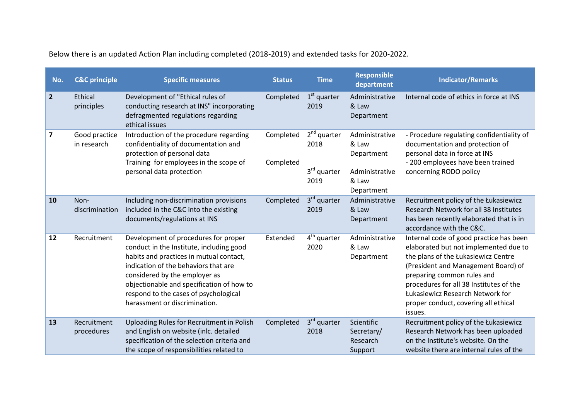| No.            | <b>C&amp;C</b> principle     | <b>Specific measures</b>                                                                                                                                                                                                                                                                                                    | <b>Status</b>          | <b>Time</b>                                              | <b>Responsible</b><br>department                                               | <b>Indicator/Remarks</b>                                                                                                                                                                                                                                                                                                       |
|----------------|------------------------------|-----------------------------------------------------------------------------------------------------------------------------------------------------------------------------------------------------------------------------------------------------------------------------------------------------------------------------|------------------------|----------------------------------------------------------|--------------------------------------------------------------------------------|--------------------------------------------------------------------------------------------------------------------------------------------------------------------------------------------------------------------------------------------------------------------------------------------------------------------------------|
| $\overline{2}$ | Ethical<br>principles        | Development of "Ethical rules of<br>conducting research at INS" incorporating<br>defragmented regulations regarding<br>ethical issues                                                                                                                                                                                       | Completed              | $1st$ quarter<br>2019                                    | Administrative<br>& Law<br>Department                                          | Internal code of ethics in force at INS                                                                                                                                                                                                                                                                                        |
| 7              | Good practice<br>in research | Introduction of the procedure regarding<br>confidentiality of documentation and<br>protection of personal data<br>Training for employees in the scope of<br>personal data protection                                                                                                                                        | Completed<br>Completed | $2nd$ quarter<br>2018<br>3 <sup>rd</sup> quarter<br>2019 | Administrative<br>& Law<br>Department<br>Administrative<br>& Law<br>Department | - Procedure regulating confidentiality of<br>documentation and protection of<br>personal data in force at INS<br>- 200 employees have been trained<br>concerning RODO policy                                                                                                                                                   |
| 10             | Non-<br>discrimination       | Including non-discrimination provisions<br>included in the C&C into the existing<br>documents/regulations at INS                                                                                                                                                                                                            | Completed              | 3rd quarter<br>2019                                      | Administrative<br>& Law<br>Department                                          | Recruitment policy of the Łukasiewicz<br>Research Network for all 38 Institutes<br>has been recently elaborated that is in<br>accordance with the C&C.                                                                                                                                                                         |
| 12             | Recruitment                  | Development of procedures for proper<br>conduct in the Institute, including good<br>habits and practices in mutual contact,<br>indication of the behaviors that are<br>considered by the employer as<br>objectionable and specification of how to<br>respond to the cases of psychological<br>harassment or discrimination. | Extended               | $4th$ quarter<br>2020                                    | Administrative<br>& Law<br>Department                                          | Internal code of good practice has been<br>elaborated but not implemented due to<br>the plans of the Łukasiewicz Centre<br>(President and Management Board) of<br>preparing common rules and<br>procedures for all 38 Institutes of the<br>Łukasiewicz Research Network for<br>proper conduct, covering all ethical<br>issues. |
| 13             | Recruitment<br>procedures    | Uploading Rules for Recruitment in Polish<br>and English on website (inlc. detailed<br>specification of the selection criteria and<br>the scope of responsibilities related to                                                                                                                                              | Completed              | $3rd$ quarter<br>2018                                    | Scientific<br>Secretary/<br>Research<br>Support                                | Recruitment policy of the Łukasiewicz<br>Research Network has been uploaded<br>on the Institute's website. On the<br>website there are internal rules of the                                                                                                                                                                   |

Below there is an updated Action Plan including completed (2018-2019) and extended tasks for 2020-2022.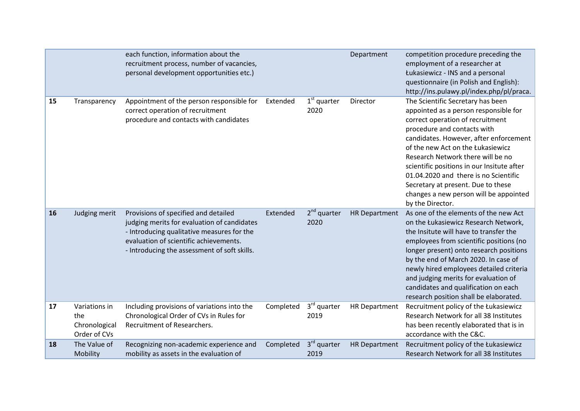|    |                                                       | each function, information about the<br>recruitment process, number of vacancies,<br>personal development opportunities etc.)                                                                                               |           |                                 | Department           | competition procedure preceding the<br>employment of a researcher at<br>Łukasiewicz - INS and a personal<br>questionnaire (in Polish and English):<br>http://ins.pulawy.pl/index.php/pl/praca.                                                                                                                                                                                                                                                               |
|----|-------------------------------------------------------|-----------------------------------------------------------------------------------------------------------------------------------------------------------------------------------------------------------------------------|-----------|---------------------------------|----------------------|--------------------------------------------------------------------------------------------------------------------------------------------------------------------------------------------------------------------------------------------------------------------------------------------------------------------------------------------------------------------------------------------------------------------------------------------------------------|
| 15 | Transparency                                          | Appointment of the person responsible for<br>correct operation of recruitment<br>procedure and contacts with candidates                                                                                                     | Extended  | $1st$ quarter<br>2020           | Director             | The Scientific Secretary has been<br>appointed as a person responsible for<br>correct operation of recruitment<br>procedure and contacts with<br>candidates. However, after enforcement<br>of the new Act on the Łukasiewicz<br>Research Network there will be no<br>scientific positions in our Insitute after<br>01.04.2020 and there is no Scientific<br>Secretary at present. Due to these<br>changes a new person will be appointed<br>by the Director. |
| 16 | Judging merit                                         | Provisions of specified and detailed<br>judging merits for evaluation of candidates<br>- Introducing qualitative measures for the<br>evaluation of scientific achievements.<br>- Introducing the assessment of soft skills. | Extended  | $2nd$ quarter<br>2020           | <b>HR Department</b> | As one of the elements of the new Act<br>on the Łukasiewicz Research Network,<br>the Insitute will have to transfer the<br>employees from scientific positions (no<br>longer present) onto research positions<br>by the end of March 2020. In case of<br>newly hired employees detailed criteria<br>and judging merits for evaluation of<br>candidates and qualification on each<br>research position shall be elaborated.                                   |
| 17 | Variations in<br>the<br>Chronological<br>Order of CVs | Including provisions of variations into the<br>Chronological Order of CVs in Rules for<br>Recruitment of Researchers.                                                                                                       | Completed | 3rd quarter<br>2019             | <b>HR Department</b> | Recruitment policy of the Łukasiewicz<br>Research Network for all 38 Institutes<br>has been recently elaborated that is in<br>accordance with the C&C.                                                                                                                                                                                                                                                                                                       |
| 18 | The Value of<br>Mobility                              | Recognizing non-academic experience and<br>mobility as assets in the evaluation of                                                                                                                                          | Completed | 3 <sup>rd</sup> quarter<br>2019 | <b>HR Department</b> | Recruitment policy of the Łukasiewicz<br>Research Network for all 38 Institutes                                                                                                                                                                                                                                                                                                                                                                              |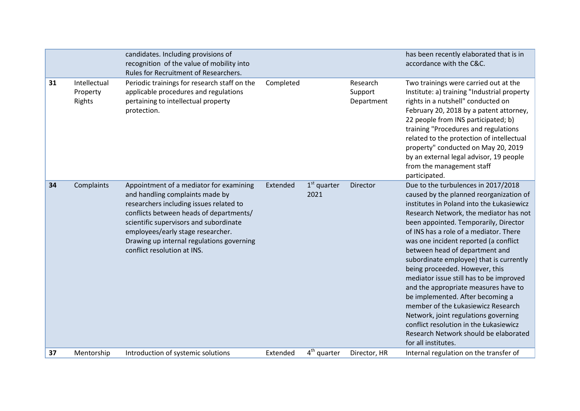|    |                                    | candidates. Including provisions of<br>recognition of the value of mobility into<br>Rules for Recruitment of Researchers.                                                                                                                                                                                                   |           |                         |                                   | has been recently elaborated that is in<br>accordance with the C&C.                                                                                                                                                                                                                                                                                                                                                                                                                                                                                                                                                                                                                                                             |
|----|------------------------------------|-----------------------------------------------------------------------------------------------------------------------------------------------------------------------------------------------------------------------------------------------------------------------------------------------------------------------------|-----------|-------------------------|-----------------------------------|---------------------------------------------------------------------------------------------------------------------------------------------------------------------------------------------------------------------------------------------------------------------------------------------------------------------------------------------------------------------------------------------------------------------------------------------------------------------------------------------------------------------------------------------------------------------------------------------------------------------------------------------------------------------------------------------------------------------------------|
| 31 | Intellectual<br>Property<br>Rights | Periodic trainings for research staff on the<br>applicable procedures and regulations<br>pertaining to intellectual property<br>protection.                                                                                                                                                                                 | Completed |                         | Research<br>Support<br>Department | Two trainings were carried out at the<br>Institute: a) training "Industrial property<br>rights in a nutshell" conducted on<br>February 20, 2018 by a patent attorney,<br>22 people from INS participated; b)<br>training "Procedures and regulations<br>related to the protection of intellectual<br>property" conducted on May 20, 2019<br>by an external legal advisor, 19 people<br>from the management staff<br>participated.                                                                                                                                                                                                                                                                                               |
| 34 | Complaints                         | Appointment of a mediator for examining<br>and handling complaints made by<br>researchers including issues related to<br>conflicts between heads of departments/<br>scientific supervisors and subordinate<br>employees/early stage researcher.<br>Drawing up internal regulations governing<br>conflict resolution at INS. | Extended  | $1st$ quarter<br>2021   | Director                          | Due to the turbulences in 2017/2018<br>caused by the planned reorganization of<br>institutes in Poland into the Łukasiewicz<br>Research Network, the mediator has not<br>been appointed. Temporarily, Director<br>of INS has a role of a mediator. There<br>was one incident reported (a conflict<br>between head of department and<br>subordinate employee) that is currently<br>being proceeded. However, this<br>mediator issue still has to be improved<br>and the appropriate measures have to<br>be implemented. After becoming a<br>member of the Łukasiewicz Research<br>Network, joint regulations governing<br>conflict resolution in the Łukasiewicz<br>Research Network should be elaborated<br>for all institutes. |
| 37 | Mentorship                         | Introduction of systemic solutions                                                                                                                                                                                                                                                                                          | Extended  | 4 <sup>th</sup> quarter | Director, HR                      | Internal regulation on the transfer of                                                                                                                                                                                                                                                                                                                                                                                                                                                                                                                                                                                                                                                                                          |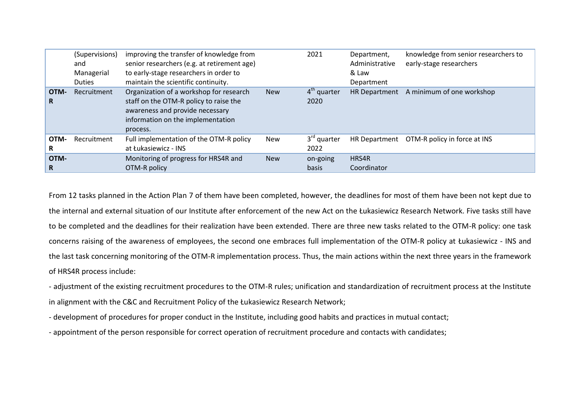|            | (Supervisions)<br>and<br>Managerial<br><b>Duties</b> | improving the transfer of knowledge from<br>senior researchers (e.g. at retirement age)<br>to early-stage researchers in order to<br>maintain the scientific continuity. |            | 2021                            | Department,<br>Administrative<br>& Law<br>Department | knowledge from senior researchers to<br>early-stage researchers |
|------------|------------------------------------------------------|--------------------------------------------------------------------------------------------------------------------------------------------------------------------------|------------|---------------------------------|------------------------------------------------------|-----------------------------------------------------------------|
| OTM-<br>R  | Recruitment                                          | Organization of a workshop for research<br>staff on the OTM-R policy to raise the<br>awareness and provide necessary<br>information on the implementation<br>process.    | <b>New</b> | $4th$ quarter<br>2020           |                                                      | HR Department A minimum of one workshop                         |
| OTM-<br>R  | Recruitment                                          | Full implementation of the OTM-R policy<br>at Łukasiewicz - INS                                                                                                          | <b>New</b> | 3 <sup>rd</sup> quarter<br>2022 | <b>HR Department</b>                                 | OTM-R policy in force at INS                                    |
| OTM-<br>R. |                                                      | Monitoring of progress for HRS4R and<br>OTM-R policy                                                                                                                     | <b>New</b> | on-going<br>basis               | HRS4R<br>Coordinator                                 |                                                                 |

From 12 tasks planned in the Action Plan 7 of them have been completed, however, the deadlines for most of them have been not kept due to the internal and external situation of our Institute after enforcement of the new Act on the Łukasiewicz Research Network. Five tasks still have to be completed and the deadlines for their realization have been extended. There are three new tasks related to the OTM-R policy: one task concerns raising of the awareness of employees, the second one embraces full implementation of the OTM-R policy at Łukasiewicz - INS and the last task concerning monitoring of the OTM-R implementation process. Thus, the main actions within the next three years in the framework of HRS4R process include:

- adjustment of the existing recruitment procedures to the OTM-R rules; unification and standardization of recruitment process at the Institute in alignment with the C&C and Recruitment Policy of the Łukasiewicz Research Network;

- development of procedures for proper conduct in the Institute, including good habits and practices in mutual contact;

- appointment of the person responsible for correct operation of recruitment procedure and contacts with candidates;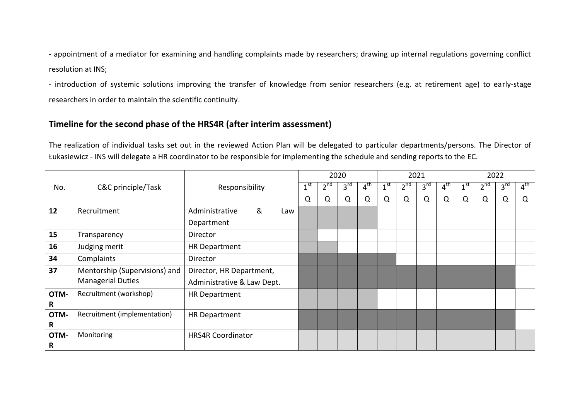- appointment of a mediator for examining and handling complaints made by researchers; drawing up internal regulations governing conflict resolution at INS;

- introduction of systemic solutions improving the transfer of knowledge from senior researchers (e.g. at retirement age) to early-stage researchers in order to maintain the scientific continuity.

## **Timeline for the second phase of the HRS4R (after interim assessment)**

The realization of individual tasks set out in the reviewed Action Plan will be delegated to particular departments/persons. The Director of Łukasiewicz - INS will delegate a HR coordinator to be responsible for implementing the schedule and sending reports to the EC.

|      |                               |                            |                 | 2020     |                 |                 |                 | 2021     |                 | 2022            |                 |          |                 |                 |
|------|-------------------------------|----------------------------|-----------------|----------|-----------------|-----------------|-----------------|----------|-----------------|-----------------|-----------------|----------|-----------------|-----------------|
| No.  | C&C principle/Task            | Responsibility             | 1 <sup>st</sup> | $2^{nd}$ | 3 <sup>rd</sup> | $4^{\text{th}}$ | 1 <sup>st</sup> | $2^{nd}$ | 3 <sup>rd</sup> | 4 <sup>th</sup> | 1 <sup>st</sup> | $2^{nd}$ | 3 <sup>rd</sup> | $4^{\text{th}}$ |
|      |                               |                            | Q               | Q        | Q               | Q               | Q               | Q        | Q               | Q               | Q               | Q        | Q               | Q               |
| 12   | Recruitment                   | &<br>Administrative<br>Law |                 |          |                 |                 |                 |          |                 |                 |                 |          |                 |                 |
|      |                               | Department                 |                 |          |                 |                 |                 |          |                 |                 |                 |          |                 |                 |
| 15   | Transparency                  | Director                   |                 |          |                 |                 |                 |          |                 |                 |                 |          |                 |                 |
| 16   | Judging merit                 | <b>HR Department</b>       |                 |          |                 |                 |                 |          |                 |                 |                 |          |                 |                 |
| 34   | Complaints                    | Director                   |                 |          |                 |                 |                 |          |                 |                 |                 |          |                 |                 |
| 37   | Mentorship (Supervisions) and | Director, HR Department,   |                 |          |                 |                 |                 |          |                 |                 |                 |          |                 |                 |
|      | <b>Managerial Duties</b>      | Administrative & Law Dept. |                 |          |                 |                 |                 |          |                 |                 |                 |          |                 |                 |
| OTM- | Recruitment (workshop)        | <b>HR Department</b>       |                 |          |                 |                 |                 |          |                 |                 |                 |          |                 |                 |
| R    |                               |                            |                 |          |                 |                 |                 |          |                 |                 |                 |          |                 |                 |
| OTM- | Recruitment (implementation)  | <b>HR Department</b>       |                 |          |                 |                 |                 |          |                 |                 |                 |          |                 |                 |
| R    |                               |                            |                 |          |                 |                 |                 |          |                 |                 |                 |          |                 |                 |
| OTM- | Monitoring                    | <b>HRS4R Coordinator</b>   |                 |          |                 |                 |                 |          |                 |                 |                 |          |                 |                 |
| R    |                               |                            |                 |          |                 |                 |                 |          |                 |                 |                 |          |                 |                 |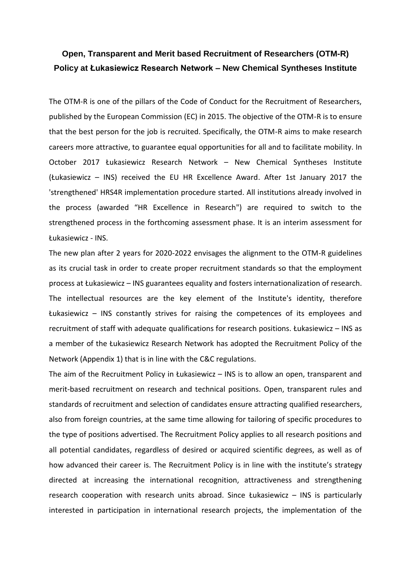## **Open, Transparent and Merit based Recruitment of Researchers (OTM-R) Policy at Łukasiewicz Research Network – New Chemical Syntheses Institute**

The OTM-R is one of the pillars of the Code of Conduct for the Recruitment of Researchers, published by the European Commission (EC) in 2015. The objective of the OTM-R is to ensure that the best person for the job is recruited. Specifically, the OTM-R aims to make research careers more attractive, to guarantee equal opportunities for all and to facilitate mobility. In October 2017 Łukasiewicz Research Network – New Chemical Syntheses Institute (Łukasiewicz – INS) received the EU HR Excellence Award. After 1st January 2017 the 'strengthened' HRS4R implementation procedure started. All institutions already involved in the process (awarded "HR Excellence in Research") are required to switch to the strengthened process in the forthcoming assessment phase. It is an interim assessment for Łukasiewicz - INS.

The new plan after 2 years for 2020-2022 envisages the alignment to the OTM-R guidelines as its crucial task in order to create proper recruitment standards so that the employment process at Łukasiewicz – INS guarantees equality and fosters internationalization of research. The intellectual resources are the key element of the Institute's identity, therefore Łukasiewicz – INS constantly strives for raising the competences of its employees and recruitment of staff with adequate qualifications for research positions. Łukasiewicz – INS as a member of the Łukasiewicz Research Network has adopted the Recruitment Policy of the Network (Appendix 1) that is in line with the C&C regulations.

The aim of the Recruitment Policy in Łukasiewicz – INS is to allow an open, transparent and merit-based recruitment on research and technical positions. Open, transparent rules and standards of recruitment and selection of candidates ensure attracting qualified researchers, also from foreign countries, at the same time allowing for tailoring of specific procedures to the type of positions advertised. The Recruitment Policy applies to all research positions and all potential candidates, regardless of desired or acquired scientific degrees, as well as of how advanced their career is. The Recruitment Policy is in line with the institute's strategy directed at increasing the international recognition, attractiveness and strengthening research cooperation with research units abroad. Since Łukasiewicz – INS is particularly interested in participation in international research projects, the implementation of the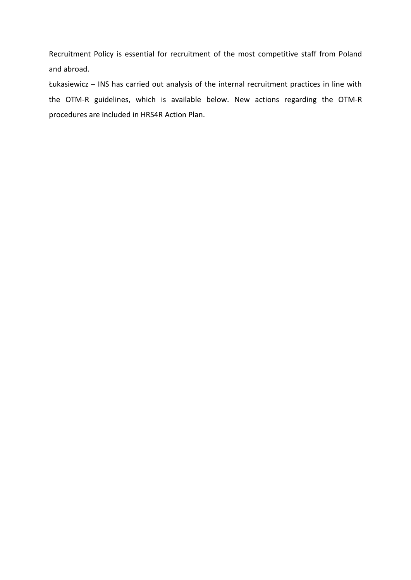Recruitment Policy is essential for recruitment of the most competitive staff from Poland and abroad.

Łukasiewicz – INS has carried out analysis of the internal recruitment practices in line with the OTM-R guidelines, which is available below. New actions regarding the OTM-R procedures are included in HRS4R Action Plan.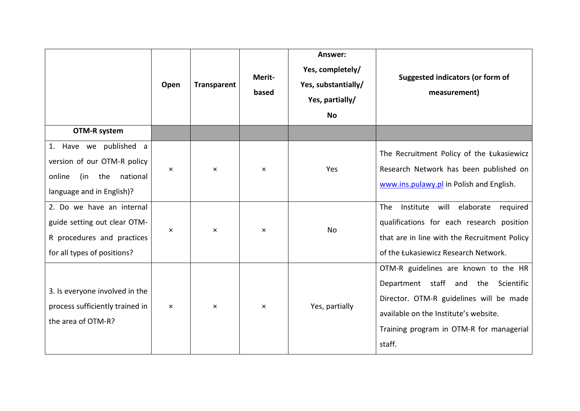|                                                                                                                        | Open     | <b>Transparent</b> | Merit-<br>based | Answer:<br>Yes, completely/<br>Yes, substantially/<br>Yes, partially/<br><b>No</b> | Suggested indicators (or form of<br>measurement)                                                                                                                                                                      |
|------------------------------------------------------------------------------------------------------------------------|----------|--------------------|-----------------|------------------------------------------------------------------------------------|-----------------------------------------------------------------------------------------------------------------------------------------------------------------------------------------------------------------------|
| <b>OTM-R system</b>                                                                                                    |          |                    |                 |                                                                                    |                                                                                                                                                                                                                       |
| 1. Have we published a<br>version of our OTM-R policy<br>the<br>national<br>online<br>(in<br>language and in English)? | $\times$ | $\times$           | $\times$        | Yes                                                                                | The Recruitment Policy of the Łukasiewicz<br>Research Network has been published on<br>www.ins.pulawy.pl in Polish and English.                                                                                       |
| 2. Do we have an internal<br>guide setting out clear OTM-<br>R procedures and practices<br>for all types of positions? | $\times$ | $\times$           | $\times$        | No                                                                                 | will elaborate<br>The<br>Institute<br>required<br>qualifications for each research position<br>that are in line with the Recruitment Policy<br>of the Łukasiewicz Research Network.                                   |
| 3. Is everyone involved in the<br>process sufficiently trained in<br>the area of OTM-R?                                | $\times$ | $\times$           | $\times$        | Yes, partially                                                                     | OTM-R guidelines are known to the HR<br>Department staff and the Scientific<br>Director. OTM-R guidelines will be made<br>available on the Institute's website.<br>Training program in OTM-R for managerial<br>staff. |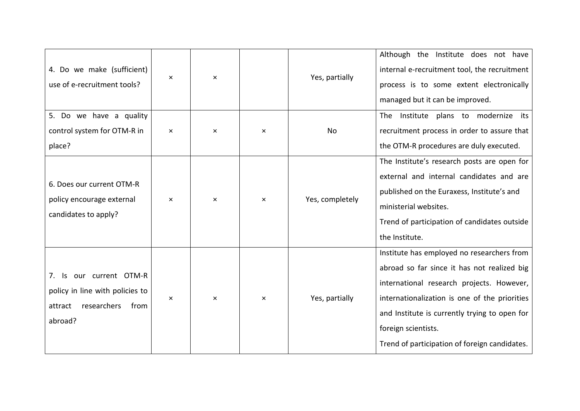| 4. Do we make (sufficient)<br>use of e-recruitment tools?                                                      | $\times$ | ×        |          | Yes, partially  | Although the Institute does not have<br>internal e-recruitment tool, the recruitment<br>process is to some extent electronically<br>managed but it can be improved.                                                                                                                                              |
|----------------------------------------------------------------------------------------------------------------|----------|----------|----------|-----------------|------------------------------------------------------------------------------------------------------------------------------------------------------------------------------------------------------------------------------------------------------------------------------------------------------------------|
| 5. Do we have a quality<br>control system for OTM-R in<br>place?                                               | $\times$ | $\times$ | $\times$ | No              | Institute plans to modernize<br>its<br>The<br>recruitment process in order to assure that<br>the OTM-R procedures are duly executed.                                                                                                                                                                             |
| 6. Does our current OTM-R<br>policy encourage external<br>candidates to apply?                                 | $\times$ | $\times$ | $\times$ | Yes, completely | The Institute's research posts are open for<br>external and internal candidates and are<br>published on the Euraxess, Institute's and<br>ministerial websites.<br>Trend of participation of candidates outside<br>the Institute.                                                                                 |
| our current OTM-R<br>7.<br>ls.<br>policy in line with policies to<br>researchers<br>from<br>attract<br>abroad? | $\times$ | $\times$ | $\times$ | Yes, partially  | Institute has employed no researchers from<br>abroad so far since it has not realized big<br>international research projects. However,<br>internationalization is one of the priorities<br>and Institute is currently trying to open for<br>foreign scientists.<br>Trend of participation of foreign candidates. |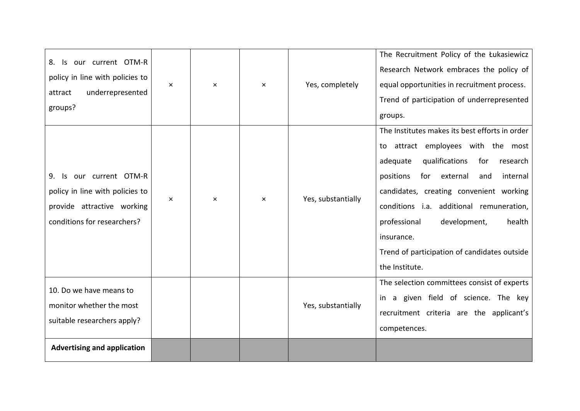| 8. Is our current OTM-R<br>policy in line with policies to<br>underrepresented<br>attract<br>groups?                           | $\times$ | $\times$ | $\times$ | Yes, completely    | The Recruitment Policy of the Łukasiewicz<br>Research Network embraces the policy of<br>equal opportunities in recruitment process.<br>Trend of participation of underrepresented<br>groups.                                                                                                                                                                                                              |
|--------------------------------------------------------------------------------------------------------------------------------|----------|----------|----------|--------------------|-----------------------------------------------------------------------------------------------------------------------------------------------------------------------------------------------------------------------------------------------------------------------------------------------------------------------------------------------------------------------------------------------------------|
| our current OTM-R<br>9.<br>-ls<br>policy in line with policies to<br>provide attractive working<br>conditions for researchers? | $\times$ | $\times$ | $\times$ | Yes, substantially | The Institutes makes its best efforts in order<br>to attract employees with the most<br>qualifications<br>adequate<br>for<br>research<br>positions<br>external<br>for<br>and<br>internal<br>candidates, creating convenient working<br>conditions i.a. additional remuneration,<br>professional<br>development,<br>health<br>insurance.<br>Trend of participation of candidates outside<br>the Institute. |
| 10. Do we have means to<br>monitor whether the most<br>suitable researchers apply?                                             |          |          |          | Yes, substantially | The selection committees consist of experts<br>in a given field of science. The key<br>recruitment criteria are the applicant's<br>competences.                                                                                                                                                                                                                                                           |
| <b>Advertising and application</b>                                                                                             |          |          |          |                    |                                                                                                                                                                                                                                                                                                                                                                                                           |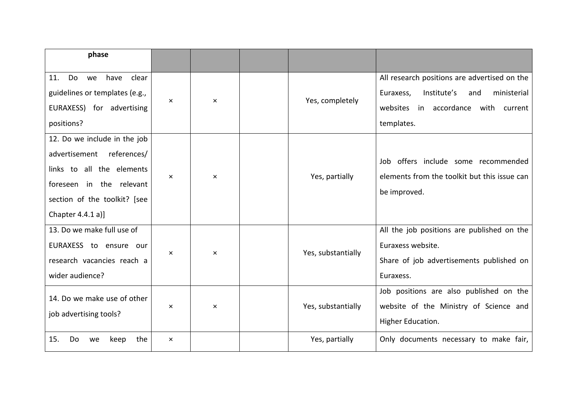| phase                                                                                                                                                                        |          |          |                    |                                                                                                                                                        |
|------------------------------------------------------------------------------------------------------------------------------------------------------------------------------|----------|----------|--------------------|--------------------------------------------------------------------------------------------------------------------------------------------------------|
| Do<br>have<br>clear<br>we<br>11.<br>guidelines or templates (e.g.,<br>EURAXESS) for advertising<br>positions?                                                                | $\times$ | $\times$ | Yes, completely    | All research positions are advertised on the<br>Institute's<br>ministerial<br>Euraxess,<br>and<br>websites<br>in accordance with current<br>templates. |
| 12. Do we include in the job<br>references/<br>advertisement<br>links to all the elements<br>foreseen in the relevant<br>section of the toolkit? [see<br>Chapter $4.4.1 a$ ] | $\times$ | $\times$ | Yes, partially     | offers include some recommended<br>Job<br>elements from the toolkit but this issue can<br>be improved.                                                 |
| 13. Do we make full use of<br>EURAXESS to ensure our<br>research vacancies reach a<br>wider audience?                                                                        | $\times$ | $\times$ | Yes, substantially | All the job positions are published on the<br>Euraxess website.<br>Share of job advertisements published on<br>Euraxess.                               |
| 14. Do we make use of other<br>job advertising tools?                                                                                                                        | $\times$ | $\times$ | Yes, substantially | Job positions are also published on the<br>website of the Ministry of Science and<br>Higher Education.                                                 |
| 15.<br>the<br>Do<br>we<br>keep                                                                                                                                               | $\times$ |          | Yes, partially     | Only documents necessary to make fair,                                                                                                                 |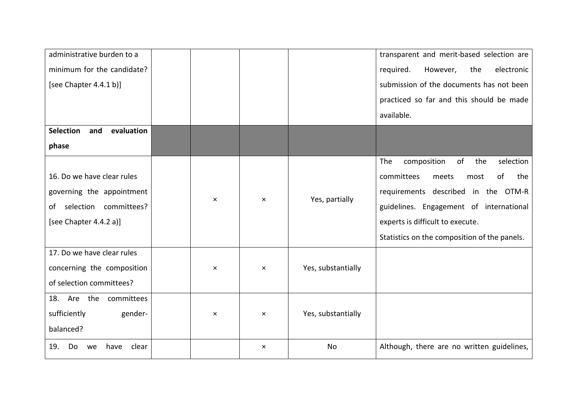| administrative burden to a            |          |          |                    | transparent and merit-based selection are    |
|---------------------------------------|----------|----------|--------------------|----------------------------------------------|
| minimum for the candidate?            |          |          |                    | required.<br>electronic<br>However,<br>the   |
| [see Chapter $4.4.1 b$ ]              |          |          |                    | submission of the documents has not been     |
|                                       |          |          |                    | practiced so far and this should be made     |
|                                       |          |          |                    | available.                                   |
| <b>Selection</b><br>and<br>evaluation |          |          |                    |                                              |
| phase                                 |          |          |                    |                                              |
|                                       |          |          |                    | composition<br>of<br>the<br>selection<br>The |
| 16. Do we have clear rules            |          |          |                    | committees<br>of<br>the<br>meets<br>most     |
| governing the appointment             |          | $\times$ | Yes, partially     | requirements described in the OTM-R          |
| selection committees?<br>of           | $\times$ |          |                    | guidelines. Engagement of international      |
| [see Chapter 4.4.2 a)]                |          |          |                    | experts is difficult to execute.             |
|                                       |          |          |                    | Statistics on the composition of the panels. |
| 17. Do we have clear rules            |          |          |                    |                                              |
| concerning the composition            | $\times$ | $\times$ | Yes, substantially |                                              |
| of selection committees?              |          |          |                    |                                              |
| 18. Are the<br>committees             |          |          |                    |                                              |
| sufficiently<br>gender-               | $\times$ | $\times$ | Yes, substantially |                                              |
| balanced?                             |          |          |                    |                                              |
| 19.<br>Do<br>clear<br>have<br>we      |          | $\times$ | <b>No</b>          | Although, there are no written guidelines,   |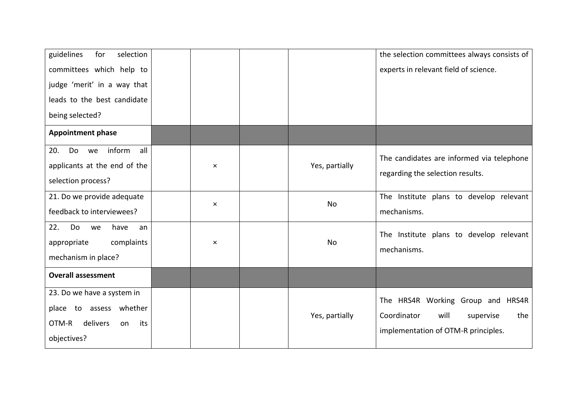| guidelines<br>selection<br>for<br>committees which help to<br>judge 'merit' in a way that<br>leads to the best candidate<br>being selected? |                |                | the selection committees always consists of<br>experts in relevant field of science.                                |
|---------------------------------------------------------------------------------------------------------------------------------------------|----------------|----------------|---------------------------------------------------------------------------------------------------------------------|
| <b>Appointment phase</b>                                                                                                                    |                |                |                                                                                                                     |
| inform<br>all<br>20.<br>Do<br>we<br>applicants at the end of the<br>selection process?                                                      | $\times$       | Yes, partially | The candidates are informed via telephone<br>regarding the selection results.                                       |
| 21. Do we provide adequate<br>feedback to interviewees?                                                                                     | $\pmb{\times}$ | <b>No</b>      | The Institute plans to develop relevant<br>mechanisms.                                                              |
| 22.<br>Do<br>have<br>we<br>an<br>complaints<br>appropriate<br>mechanism in place?                                                           | $\times$       | <b>No</b>      | The Institute plans to develop relevant<br>mechanisms.                                                              |
| <b>Overall assessment</b>                                                                                                                   |                |                |                                                                                                                     |
| 23. Do we have a system in<br>place to assess whether<br>delivers<br>OTM-R<br>its<br>on<br>objectives?                                      |                | Yes, partially | The HRS4R Working Group and HRS4R<br>Coordinator<br>will<br>supervise<br>the<br>implementation of OTM-R principles. |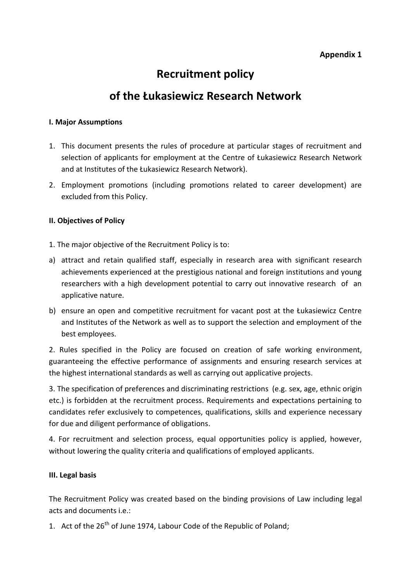## **Appendix 1**

## **Recruitment policy**

## **of the Łukasiewicz Research Network**

#### **I. Major Assumptions**

- 1. This document presents the rules of procedure at particular stages of recruitment and selection of applicants for employment at the Centre of Łukasiewicz Research Network and at Institutes of the Łukasiewicz Research Network).
- 2. Employment promotions (including promotions related to career development) are excluded from this Policy.

#### **II. Objectives of Policy**

- 1. The major objective of the Recruitment Policy is to:
- a) attract and retain qualified staff, especially in research area with significant research achievements experienced at the prestigious national and foreign institutions and young researchers with a high development potential to carry out innovative research of an applicative nature.
- b) ensure an open and competitive recruitment for vacant post at the Łukasiewicz Centre and Institutes of the Network as well as to support the selection and employment of the best employees.

2. Rules specified in the Policy are focused on creation of safe working environment, guaranteeing the effective performance of assignments and ensuring research services at the highest international standards as well as carrying out applicative projects.

3. The specification of preferences and discriminating restrictions (e.g. sex, age, ethnic origin etc.) is forbidden at the recruitment process. Requirements and expectations pertaining to candidates refer exclusively to competences, qualifications, skills and experience necessary for due and diligent performance of obligations.

4. For recruitment and selection process, equal opportunities policy is applied, however, without lowering the quality criteria and qualifications of employed applicants.

## **III. Legal basis**

The Recruitment Policy was created based on the binding provisions of Law including legal acts and documents i.e.:

1. Act of the 26<sup>th</sup> of June 1974, Labour Code of the Republic of Poland;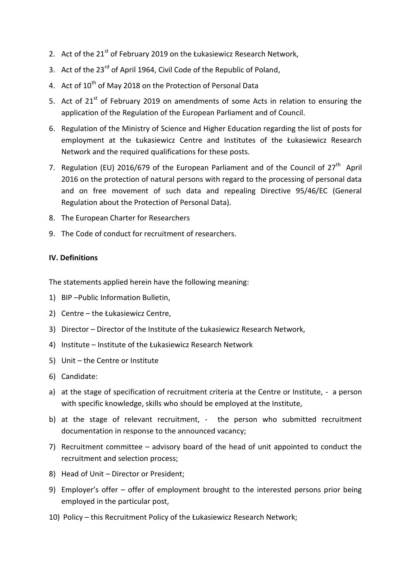- 2. Act of the 21<sup>st</sup> of February 2019 on the Łukasiewicz Research Network,
- 3. Act of the 23<sup>rd</sup> of April 1964, Civil Code of the Republic of Poland,
- 4. Act of  $10^{th}$  of May 2018 on the Protection of Personal Data
- 5. Act of  $21<sup>st</sup>$  of February 2019 on amendments of some Acts in relation to ensuring the application of the Regulation of the European Parliament and of Council.
- 6. Regulation of the Ministry of Science and Higher Education regarding the list of posts for employment at the Łukasiewicz Centre and Institutes of the Łukasiewicz Research Network and the required qualifications for these posts.
- 7. Regulation (EU) 2016/679 of the European Parliament and of the Council of 27<sup>th</sup> April 2016 on the protection of natural persons with regard to the processing of personal data and on free movement of such data and repealing Directive 95/46/EC (General Regulation about the Protection of Personal Data).
- 8. The European Charter for Researchers
- 9. The Code of conduct for recruitment of researchers.

#### **IV. Definitions**

The statements applied herein have the following meaning:

- 1) BIP –Public Information Bulletin,
- 2) Centre the Łukasiewicz Centre,
- 3) Director Director of the Institute of the Łukasiewicz Research Network,
- 4) Institute Institute of the Łukasiewicz Research Network
- 5) Unit the Centre or Institute
- 6) Candidate:
- a) at the stage of specification of recruitment criteria at the Centre or Institute, a person with specific knowledge, skills who should be employed at the Institute,
- b) at the stage of relevant recruitment, the person who submitted recruitment documentation in response to the announced vacancy;
- 7) Recruitment committee advisory board of the head of unit appointed to conduct the recruitment and selection process;
- 8) Head of Unit Director or President;
- 9) Employer's offer offer of employment brought to the interested persons prior being employed in the particular post,
- 10) Policy this Recruitment Policy of the Łukasiewicz Research Network;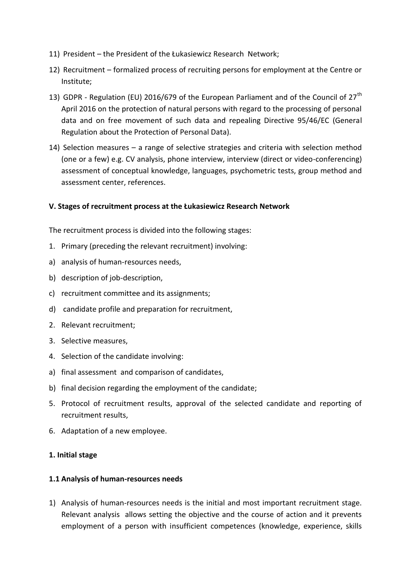- 11) President the President of the Łukasiewicz Research Network;
- 12) Recruitment formalized process of recruiting persons for employment at the Centre or Institute;
- 13) GDPR Regulation (EU) 2016/679 of the European Parliament and of the Council of  $27<sup>th</sup>$ April 2016 on the protection of natural persons with regard to the processing of personal data and on free movement of such data and repealing Directive 95/46/EC (General Regulation about the Protection of Personal Data).
- 14) Selection measures a range of selective strategies and criteria with selection method (one or a few) e.g. CV analysis, phone interview, interview (direct or video-conferencing) assessment of conceptual knowledge, languages, psychometric tests, group method and assessment center, references.

#### **V. Stages of recruitment process at the Łukasiewicz Research Network**

The recruitment process is divided into the following stages:

- 1. Primary (preceding the relevant recruitment) involving:
- a) analysis of human-resources needs,
- b) description of job-description,
- c) recruitment committee and its assignments;
- d) candidate profile and preparation for recruitment,
- 2. Relevant recruitment;
- 3. Selective measures,
- 4. Selection of the candidate involving:
- a) final assessment and comparison of candidates,
- b) final decision regarding the employment of the candidate;
- 5. Protocol of recruitment results, approval of the selected candidate and reporting of recruitment results,
- 6. Adaptation of a new employee.

#### **1. Initial stage**

#### **1.1 Analysis of human-resources needs**

1) Analysis of human-resources needs is the initial and most important recruitment stage. Relevant analysis allows setting the objective and the course of action and it prevents employment of a person with insufficient competences (knowledge, experience, skills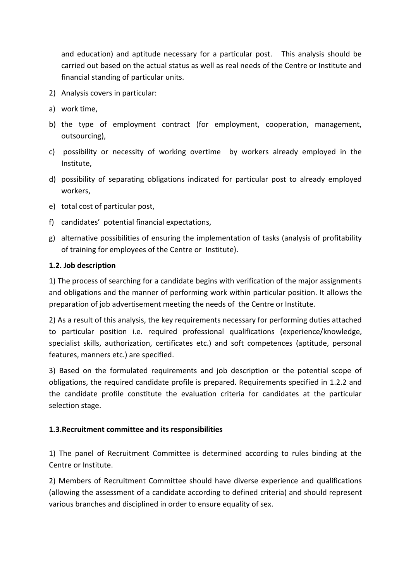and education) and aptitude necessary for a particular post. This analysis should be carried out based on the actual status as well as real needs of the Centre or Institute and financial standing of particular units.

- 2) Analysis covers in particular:
- a) work time,
- b) the type of employment contract (for employment, cooperation, management, outsourcing),
- c) possibility or necessity of working overtime by workers already employed in the Institute,
- d) possibility of separating obligations indicated for particular post to already employed workers,
- e) total cost of particular post,
- f) candidates' potential financial expectations,
- g) alternative possibilities of ensuring the implementation of tasks (analysis of profitability of training for employees of the Centre or Institute).

## **1.2. Job description**

1) The process of searching for a candidate begins with verification of the major assignments and obligations and the manner of performing work within particular position. It allows the preparation of job advertisement meeting the needs of the Centre or Institute.

2) As a result of this analysis, the key requirements necessary for performing duties attached to particular position i.e. required professional qualifications (experience/knowledge, specialist skills, authorization, certificates etc.) and soft competences (aptitude, personal features, manners etc.) are specified.

3) Based on the formulated requirements and job description or the potential scope of obligations, the required candidate profile is prepared. Requirements specified in 1.2.2 and the candidate profile constitute the evaluation criteria for candidates at the particular selection stage.

## **1.3.Recruitment committee and its responsibilities**

1) The panel of Recruitment Committee is determined according to rules binding at the Centre or Institute.

2) Members of Recruitment Committee should have diverse experience and qualifications (allowing the assessment of a candidate according to defined criteria) and should represent various branches and disciplined in order to ensure equality of sex.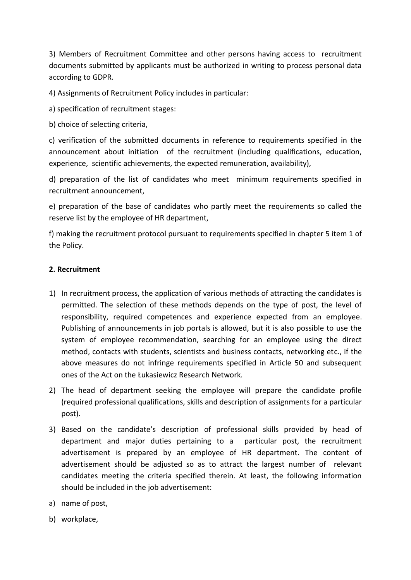3) Members of Recruitment Committee and other persons having access to recruitment documents submitted by applicants must be authorized in writing to process personal data according to GDPR.

4) Assignments of Recruitment Policy includes in particular:

a) specification of recruitment stages:

b) choice of selecting criteria,

c) verification of the submitted documents in reference to requirements specified in the announcement about initiation of the recruitment (including qualifications, education, experience, scientific achievements, the expected remuneration, availability),

d) preparation of the list of candidates who meet minimum requirements specified in recruitment announcement,

e) preparation of the base of candidates who partly meet the requirements so called the reserve list by the employee of HR department,

f) making the recruitment protocol pursuant to requirements specified in chapter 5 item 1 of the Policy.

## **2. Recruitment**

- 1) In recruitment process, the application of various methods of attracting the candidates is permitted. The selection of these methods depends on the type of post, the level of responsibility, required competences and experience expected from an employee. Publishing of announcements in job portals is allowed, but it is also possible to use the system of employee recommendation, searching for an employee using the direct method, contacts with students, scientists and business contacts, networking etc., if the above measures do not infringe requirements specified in Article 50 and subsequent ones of the Act on the Łukasiewicz Research Network.
- 2) The head of department seeking the employee will prepare the candidate profile (required professional qualifications, skills and description of assignments for a particular post).
- 3) Based on the candidate's description of professional skills provided by head of department and major duties pertaining to a particular post, the recruitment advertisement is prepared by an employee of HR department. The content of advertisement should be adjusted so as to attract the largest number of relevant candidates meeting the criteria specified therein. At least, the following information should be included in the job advertisement:
- a) name of post,
- b) workplace,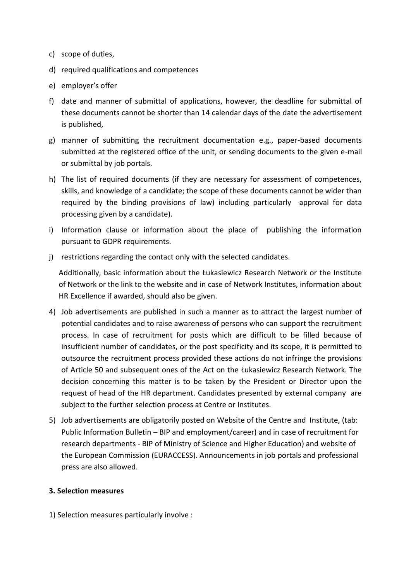- c) scope of duties,
- d) required qualifications and competences
- e) employer's offer
- f) date and manner of submittal of applications, however, the deadline for submittal of these documents cannot be shorter than 14 calendar days of the date the advertisement is published,
- g) manner of submitting the recruitment documentation e.g., paper-based documents submitted at the registered office of the unit, or sending documents to the given e-mail or submittal by job portals.
- h) The list of required documents (if they are necessary for assessment of competences, skills, and knowledge of a candidate; the scope of these documents cannot be wider than required by the binding provisions of law) including particularly approval for data processing given by a candidate).
- i) Information clause or information about the place of publishing the information pursuant to GDPR requirements.
- j) restrictions regarding the contact only with the selected candidates.

Additionally, basic information about the Łukasiewicz Research Network or the Institute of Network or the link to the website and in case of Network Institutes, information about HR Excellence if awarded, should also be given.

- 4) Job advertisements are published in such a manner as to attract the largest number of potential candidates and to raise awareness of persons who can support the recruitment process. In case of recruitment for posts which are difficult to be filled because of insufficient number of candidates, or the post specificity and its scope, it is permitted to outsource the recruitment process provided these actions do not infringe the provisions of Article 50 and subsequent ones of the Act on the Łukasiewicz Research Network. The decision concerning this matter is to be taken by the President or Director upon the request of head of the HR department. Candidates presented by external company are subject to the further selection process at Centre or Institutes.
- 5) Job advertisements are obligatorily posted on Website of the Centre and Institute, (tab: Public Information Bulletin – BIP and employment/career) and in case of recruitment for research departments - BIP of Ministry of Science and Higher Education) and website of the European Commission (EURACCESS). Announcements in job portals and professional press are also allowed.

#### **3. Selection measures**

1) Selection measures particularly involve :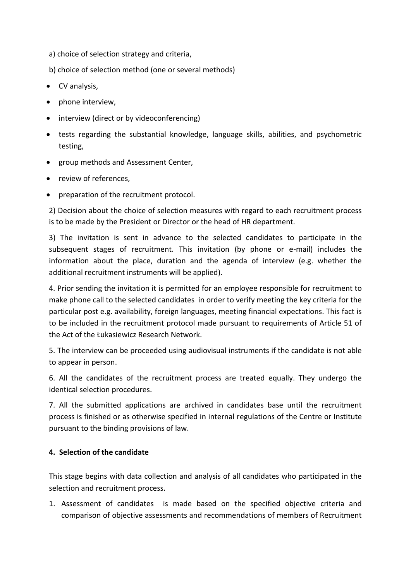a) choice of selection strategy and criteria,

b) choice of selection method (one or several methods)

- CV analysis,
- phone interview,
- interview (direct or by videoconferencing)
- tests regarding the substantial knowledge, language skills, abilities, and psychometric testing,
- group methods and Assessment Center.
- review of references,
- preparation of the recruitment protocol.

2) Decision about the choice of selection measures with regard to each recruitment process is to be made by the President or Director or the head of HR department.

3) The invitation is sent in advance to the selected candidates to participate in the subsequent stages of recruitment. This invitation (by phone or e-mail) includes the information about the place, duration and the agenda of interview (e.g. whether the additional recruitment instruments will be applied).

4. Prior sending the invitation it is permitted for an employee responsible for recruitment to make phone call to the selected candidates in order to verify meeting the key criteria for the particular post e.g. availability, foreign languages, meeting financial expectations. This fact is to be included in the recruitment protocol made pursuant to requirements of Article 51 of the Act of the Łukasiewicz Research Network.

5. The interview can be proceeded using audiovisual instruments if the candidate is not able to appear in person.

6. All the candidates of the recruitment process are treated equally. They undergo the identical selection procedures.

7. All the submitted applications are archived in candidates base until the recruitment process is finished or as otherwise specified in internal regulations of the Centre or Institute pursuant to the binding provisions of law.

## **4. Selection of the candidate**

This stage begins with data collection and analysis of all candidates who participated in the selection and recruitment process.

1. Assessment of candidates is made based on the specified objective criteria and comparison of objective assessments and recommendations of members of Recruitment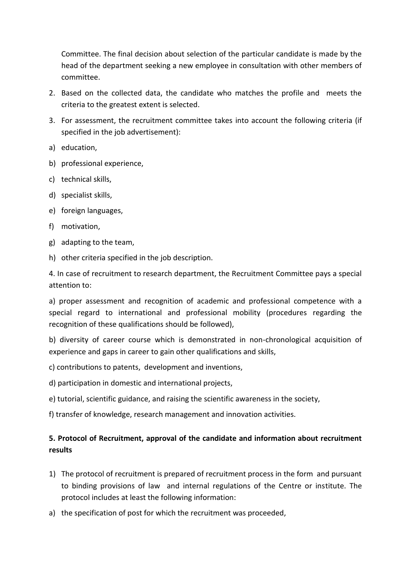Committee. The final decision about selection of the particular candidate is made by the head of the department seeking a new employee in consultation with other members of committee.

- 2. Based on the collected data, the candidate who matches the profile and meets the criteria to the greatest extent is selected.
- 3. For assessment, the recruitment committee takes into account the following criteria (if specified in the job advertisement):
- a) education,
- b) professional experience,
- c) technical skills,
- d) specialist skills,
- e) foreign languages,
- f) motivation,
- g) adapting to the team,
- h) other criteria specified in the job description.

4. In case of recruitment to research department, the Recruitment Committee pays a special attention to:

a) proper assessment and recognition of academic and professional competence with a special regard to international and professional mobility (procedures regarding the recognition of these qualifications should be followed),

b) diversity of career course which is demonstrated in non-chronological acquisition of experience and gaps in career to gain other qualifications and skills,

- c) contributions to patents, development and inventions,
- d) participation in domestic and international projects,
- e) tutorial, scientific guidance, and raising the scientific awareness in the society,
- f) transfer of knowledge, research management and innovation activities.

## **5. Protocol of Recruitment, approval of the candidate and information about recruitment results**

- 1) The protocol of recruitment is prepared of recruitment process in the form and pursuant to binding provisions of law and internal regulations of the Centre or institute. The protocol includes at least the following information:
- a) the specification of post for which the recruitment was proceeded,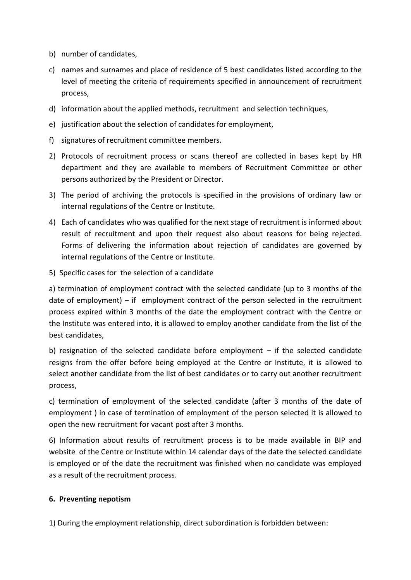- b) number of candidates,
- c) names and surnames and place of residence of 5 best candidates listed according to the level of meeting the criteria of requirements specified in announcement of recruitment process,
- d) information about the applied methods, recruitment and selection techniques,
- e) justification about the selection of candidates for employment,
- f) signatures of recruitment committee members.
- 2) Protocols of recruitment process or scans thereof are collected in bases kept by HR department and they are available to members of Recruitment Committee or other persons authorized by the President or Director.
- 3) The period of archiving the protocols is specified in the provisions of ordinary law or internal regulations of the Centre or Institute.
- 4) Each of candidates who was qualified for the next stage of recruitment is informed about result of recruitment and upon their request also about reasons for being rejected. Forms of delivering the information about rejection of candidates are governed by internal regulations of the Centre or Institute.
- 5) Specific cases for the selection of a candidate

a) termination of employment contract with the selected candidate (up to 3 months of the date of employment) – if employment contract of the person selected in the recruitment process expired within 3 months of the date the employment contract with the Centre or the Institute was entered into, it is allowed to employ another candidate from the list of the best candidates,

b) resignation of the selected candidate before employment – if the selected candidate resigns from the offer before being employed at the Centre or Institute, it is allowed to select another candidate from the list of best candidates or to carry out another recruitment process,

c) termination of employment of the selected candidate (after 3 months of the date of employment ) in case of termination of employment of the person selected it is allowed to open the new recruitment for vacant post after 3 months.

6) Information about results of recruitment process is to be made available in BIP and website of the Centre or Institute within 14 calendar days of the date the selected candidate is employed or of the date the recruitment was finished when no candidate was employed as a result of the recruitment process.

## **6. Preventing nepotism**

1) During the employment relationship, direct subordination is forbidden between: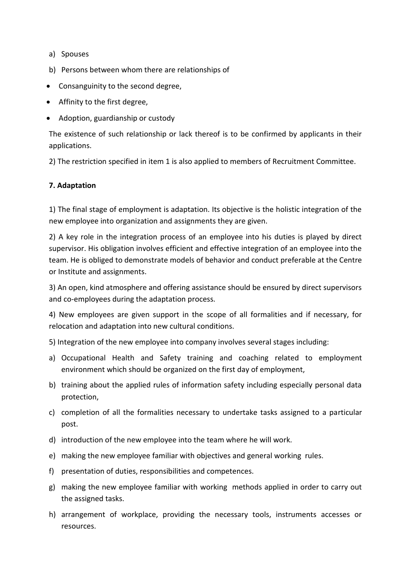- a) Spouses
- b) Persons between whom there are relationships of
- Consanguinity to the second degree,
- Affinity to the first degree,
- Adoption, guardianship or custody

The existence of such relationship or lack thereof is to be confirmed by applicants in their applications.

2) The restriction specified in item 1 is also applied to members of Recruitment Committee.

#### **7. Adaptation**

1) The final stage of employment is adaptation. Its objective is the holistic integration of the new employee into organization and assignments they are given.

2) A key role in the integration process of an employee into his duties is played by direct supervisor. His obligation involves efficient and effective integration of an employee into the team. He is obliged to demonstrate models of behavior and conduct preferable at the Centre or Institute and assignments.

3) An open, kind atmosphere and offering assistance should be ensured by direct supervisors and co-employees during the adaptation process.

4) New employees are given support in the scope of all formalities and if necessary, for relocation and adaptation into new cultural conditions.

5) Integration of the new employee into company involves several stages including:

- a) Occupational Health and Safety training and coaching related to employment environment which should be organized on the first day of employment,
- b) training about the applied rules of information safety including especially personal data protection,
- c) completion of all the formalities necessary to undertake tasks assigned to a particular post.
- d) introduction of the new employee into the team where he will work.
- e) making the new employee familiar with objectives and general working rules.
- f) presentation of duties, responsibilities and competences.
- g) making the new employee familiar with working methods applied in order to carry out the assigned tasks.
- h) arrangement of workplace, providing the necessary tools, instruments accesses or resources.